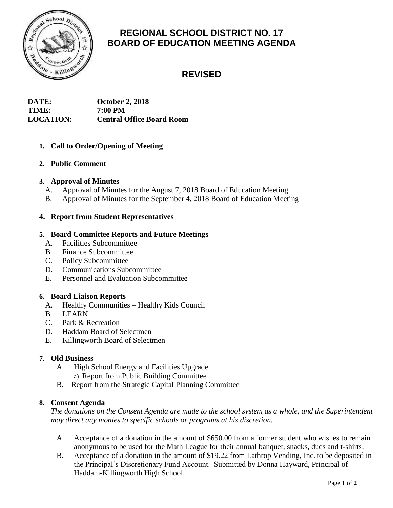

# **REGIONAL SCHOOL DISTRICT NO. 17 BOARD OF EDUCATION MEETING AGENDA**

# **REVISED**

## **DATE: October 2, 2018 TIME: 7:00 PM LOCATION: Central Office Board Room**

# **1. Call to Order/Opening of Meeting**

## **2. Public Comment**

## **3. Approval of Minutes**

- A. Approval of Minutes for the August 7, 2018 Board of Education Meeting
- B. Approval of Minutes for the September 4, 2018 Board of Education Meeting

## **4. Report from Student Representatives**

## **5. Board Committee Reports and Future Meetings**

- A. Facilities Subcommittee
- B. Finance Subcommittee
- C. Policy Subcommittee
- D. Communications Subcommittee
- E. Personnel and Evaluation Subcommittee

## **6. Board Liaison Reports**

- A. Healthy Communities Healthy Kids Council
- B. LEARN
- C. Park & Recreation
- D. Haddam Board of Selectmen
- E. Killingworth Board of Selectmen

## **7. Old Business**

- A. High School Energy and Facilities Upgrade
	- a) Report from Public Building Committee
- B. Report from the Strategic Capital Planning Committee

## **8. Consent Agenda**

*The donations on the Consent Agenda are made to the school system as a whole, and the Superintendent may direct any monies to specific schools or programs at his discretion.* 

- A. Acceptance of a donation in the amount of \$650.00 from a former student who wishes to remain anonymous to be used for the Math League for their annual banquet, snacks, dues and t-shirts.
- B. Acceptance of a donation in the amount of \$19.22 from Lathrop Vending, Inc. to be deposited in the Principal's Discretionary Fund Account. Submitted by Donna Hayward, Principal of Haddam-Killingworth High School.